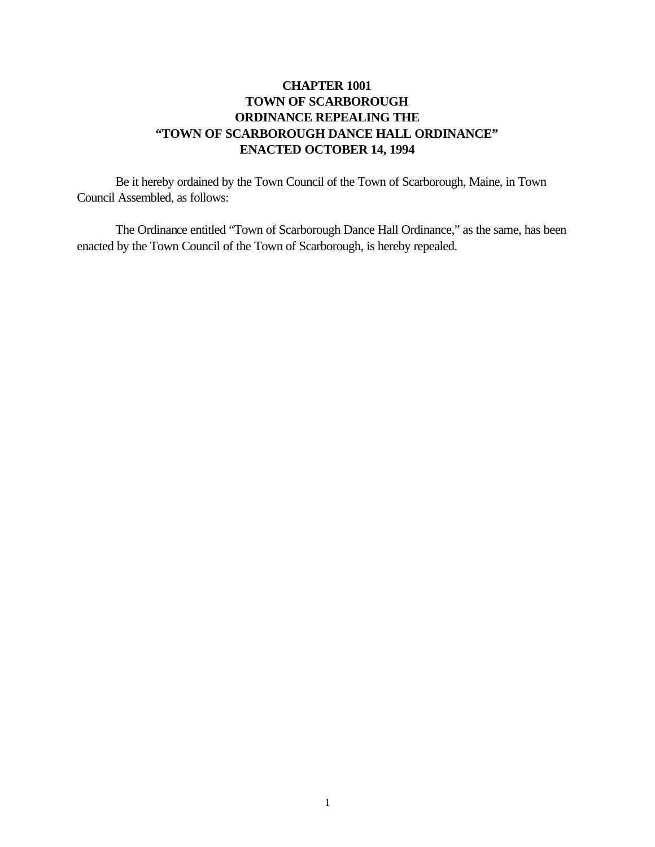# **CHAPTER 1001 TOWN OF SCARBOROUGH ORDINANCE REPEALING THE "TOWN OF SCARBOROUGH DANCE HALL ORDINANCE" ENACTED OCTOBER 14, 1994**

Be it hereby ordained by the Town Council of the Town of Scarborough, Maine, in Town Council Assembled, as follows:

The Ordinance entitled "Town of Scarborough Dance Hall Ordinance," as the same, has been enacted by the Town Council of the Town of Scarborough, is hereby repealed.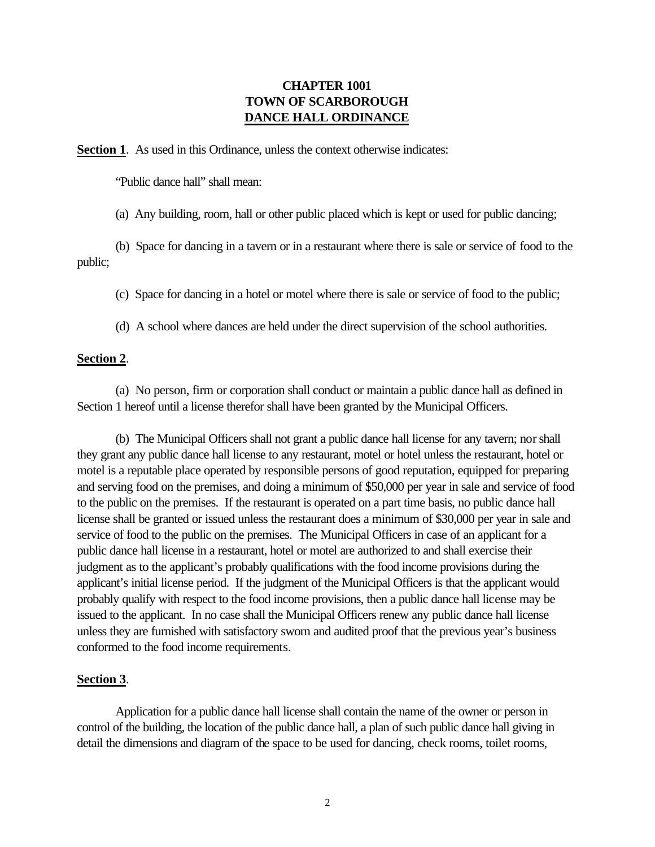## **CHAPTER 1001 TOWN OF SCARBOROUGH DANCE HALL ORDINANCE**

**Section 1.** As used in this Ordinance, unless the context otherwise indicates:

"Public dance hall" shall mean:

(a) Any building, room, hall or other public placed which is kept or used for public dancing;

(b) Space for dancing in a tavern or in a restaurant where there is sale or service of food to the public;

(c) Space for dancing in a hotel or motel where there is sale or service of food to the public;

(d) A school where dances are held under the direct supervision of the school authorities.

### **Section 2**.

(a) No person, firm or corporation shall conduct or maintain a public dance hall as defined in Section 1 hereof until a license therefor shall have been granted by the Municipal Officers.

(b) The Municipal Officers shall not grant a public dance hall license for any tavern; nor shall they grant any public dance hall license to any restaurant, motel or hotel unless the restaurant, hotel or motel is a reputable place operated by responsible persons of good reputation, equipped for preparing and serving food on the premises, and doing a minimum of \$50,000 per year in sale and service of food to the public on the premises. If the restaurant is operated on a part time basis, no public dance hall license shall be granted or issued unless the restaurant does a minimum of \$30,000 per year in sale and service of food to the public on the premises. The Municipal Officers in case of an applicant for a public dance hall license in a restaurant, hotel or motel are authorized to and shall exercise their judgment as to the applicant's probably qualifications with the food income provisions during the applicant's initial license period. If the judgment of the Municipal Officers is that the applicant would probably qualify with respect to the food income provisions, then a public dance hall license may be issued to the applicant. In no case shall the Municipal Officers renew any public dance hall license unless they are furnished with satisfactory sworn and audited proof that the previous year's business conformed to the food income requirements.

#### **Section 3**.

Application for a public dance hall license shall contain the name of the owner or person in control of the building, the location of the public dance hall, a plan of such public dance hall giving in detail the dimensions and diagram of the space to be used for dancing, check rooms, toilet rooms,